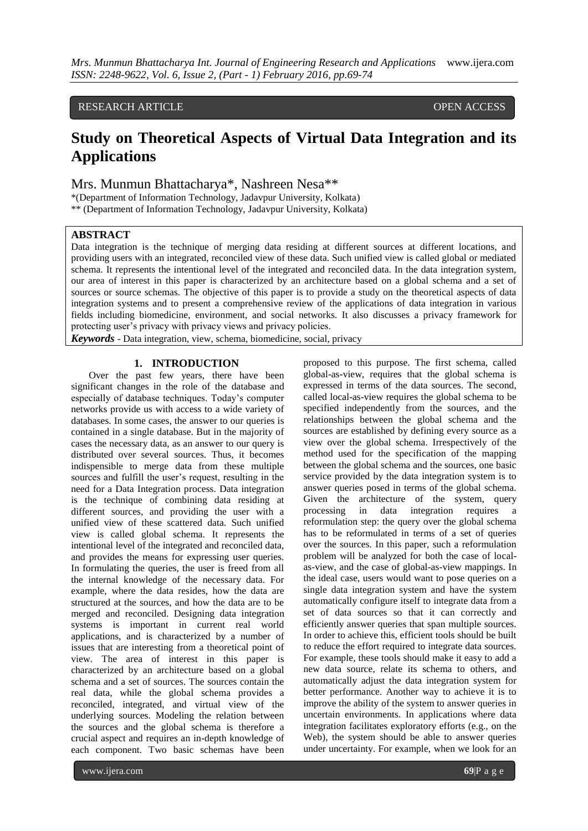## RESEARCH ARTICLE **CONSERVERS** OPEN ACCESS

# **Study on Theoretical Aspects of Virtual Data Integration and its Applications**

Mrs. Munmun Bhattacharya\*, Nashreen Nesa\*\*

\*(Department of Information Technology, Jadavpur University, Kolkata)

\*\* (Department of Information Technology, Jadavpur University, Kolkata)

## **ABSTRACT**

Data integration is the technique of merging data residing at different sources at different locations, and providing users with an integrated, reconciled view of these data. Such unified view is called global or mediated schema. It represents the intentional level of the integrated and reconciled data. In the data integration system, our area of interest in this paper is characterized by an architecture based on a global schema and a set of sources or source schemas. The objective of this paper is to provide a study on the theoretical aspects of data integration systems and to present a comprehensive review of the applications of data integration in various fields including biomedicine, environment, and social networks. It also discusses a privacy framework for protecting user's privacy with privacy views and privacy policies.

*Keywords* - Data integration, view, schema, biomedicine, social, privacy

## **1. INTRODUCTION**

Over the past few years, there have been significant changes in the role of the database and especially of database techniques. Today's computer networks provide us with access to a wide variety of databases. In some cases, the answer to our queries is contained in a single database. But in the majority of cases the necessary data, as an answer to our query is distributed over several sources. Thus, it becomes indispensible to merge data from these multiple sources and fulfill the user's request, resulting in the need for a Data Integration process. Data integration is the technique of combining data residing at different sources, and providing the user with a unified view of these scattered data. Such unified view is called global schema. It represents the intentional level of the integrated and reconciled data, and provides the means for expressing user queries. In formulating the queries, the user is freed from all the internal knowledge of the necessary data. For example, where the data resides, how the data are structured at the sources, and how the data are to be merged and reconciled. Designing data integration systems is important in current real world applications, and is characterized by a number of issues that are interesting from a theoretical point of view. The area of interest in this paper is characterized by an architecture based on a global schema and a set of sources. The sources contain the real data, while the global schema provides a reconciled, integrated, and virtual view of the underlying sources. Modeling the relation between the sources and the global schema is therefore a crucial aspect and requires an in-depth knowledge of each component. Two basic schemas have been

proposed to this purpose. The first schema, called global-as-view, requires that the global schema is expressed in terms of the data sources. The second, called local-as-view requires the global schema to be specified independently from the sources, and the relationships between the global schema and the sources are established by defining every source as a view over the global schema. Irrespectively of the method used for the specification of the mapping between the global schema and the sources, one basic service provided by the data integration system is to answer queries posed in terms of the global schema. Given the architecture of the system, query processing in data integration requires a reformulation step: the query over the global schema has to be reformulated in terms of a set of queries over the sources. In this paper, such a reformulation problem will be analyzed for both the case of localas-view, and the case of global-as-view mappings. In the ideal case, users would want to pose queries on a single data integration system and have the system automatically configure itself to integrate data from a set of data sources so that it can correctly and efficiently answer queries that span multiple sources. In order to achieve this, efficient tools should be built to reduce the effort required to integrate data sources. For example, these tools should make it easy to add a new data source, relate its schema to others, and automatically adjust the data integration system for better performance. Another way to achieve it is to improve the ability of the system to answer queries in uncertain environments. In applications where data integration facilitates exploratory efforts (e.g., on the Web), the system should be able to answer queries under uncertainty. For example, when we look for an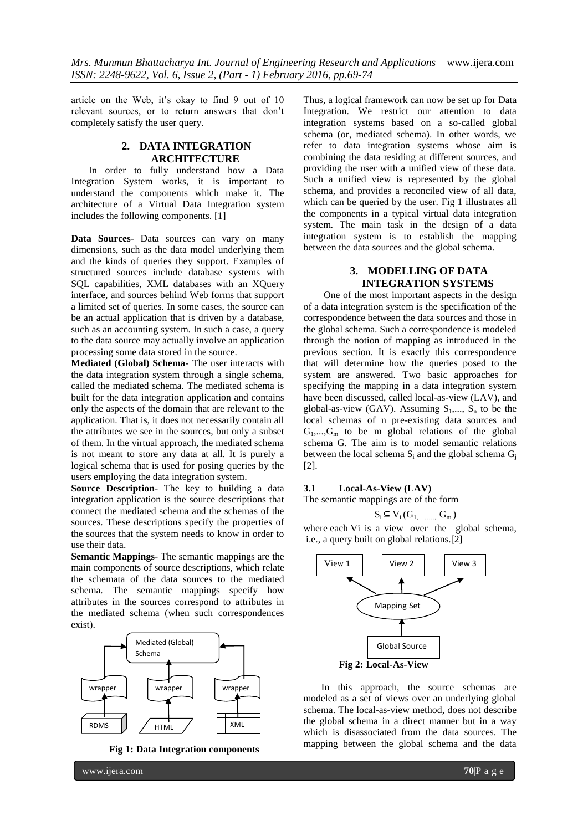article on the Web, it's okay to find 9 out of 10 relevant sources, or to return answers that don't completely satisfy the user query.

## **2. DATA INTEGRATION ARCHITECTURE**

In order to fully understand how a Data Integration System works, it is important to understand the components which make it. The architecture of a Virtual Data Integration system includes the following components. [1]

**Data Sources**- Data sources can vary on many dimensions, such as the data model underlying them and the kinds of queries they support. Examples of structured sources include database systems with SQL capabilities, XML databases with an XQuery interface, and sources behind Web forms that support a limited set of queries. In some cases, the source can be an actual application that is driven by a database, such as an accounting system. In such a case, a query to the data source may actually involve an application processing some data stored in the source.

**Mediated (Global) Schema**- The user interacts with the data integration system through a single schema, called the mediated schema. The mediated schema is built for the data integration application and contains only the aspects of the domain that are relevant to the application. That is, it does not necessarily contain all the attributes we see in the sources, but only a subset of them. In the virtual approach, the mediated schema is not meant to store any data at all. It is purely a logical schema that is used for posing queries by the users employing the data integration system.

**Source Description**- The key to building a data integration application is the source descriptions that connect the mediated schema and the schemas of the sources. These descriptions specify the properties of the sources that the system needs to know in order to use their data.

**Semantic Mappings**- The semantic mappings are the main components of source descriptions, which relate the schemata of the data sources to the mediated schema. The semantic mappings specify how attributes in the sources correspond to attributes in the mediated schema (when such correspondences exist).



**Fig 1: Data Integration components**

Thus, a logical framework can now be set up for Data Integration. We restrict our attention to data integration systems based on a so-called global schema (or, mediated schema). In other words, we refer to data integration systems whose aim is combining the data residing at different sources, and providing the user with a unified view of these data. Such a unified view is represented by the global schema, and provides a reconciled view of all data, which can be queried by the user. Fig 1 illustrates all the components in a typical virtual data integration system. The main task in the design of a data integration system is to establish the mapping between the data sources and the global schema.

## **3. MODELLING OF DATA INTEGRATION SYSTEMS**

One of the most important aspects in the design of a data integration system is the specification of the correspondence between the data sources and those in the global schema. Such a correspondence is modeled through the notion of mapping as introduced in the previous section. It is exactly this correspondence that will determine how the queries posed to the system are answered. Two basic approaches for specifying the mapping in a data integration system have been discussed, called local-as-view (LAV), and global-as-view (GAV). Assuming  $S_1$ ,...,  $S_n$  to be the local schemas of n pre-existing data sources and  $G_1,...,G_m$  to be m global relations of the global schema G. The aim is to model semantic relations between the local schema  $S_i$  and the global schema  $G_i$ [2].

#### **3.1 Local-As-View (LAV)**

The semantic mappings are of the form

$$
S_i \subseteq V_i(G_{1, \ldots \ldots, G_m})
$$

where each Vi is a view over the global schema, i.e., a query built on global relations.[2]



In this approach, the source schemas are modeled as a set of views over an underlying global schema. The local-as-view method, does not describe the global schema in a direct manner but in a way which is disassociated from the data sources. The mapping between the global schema and the data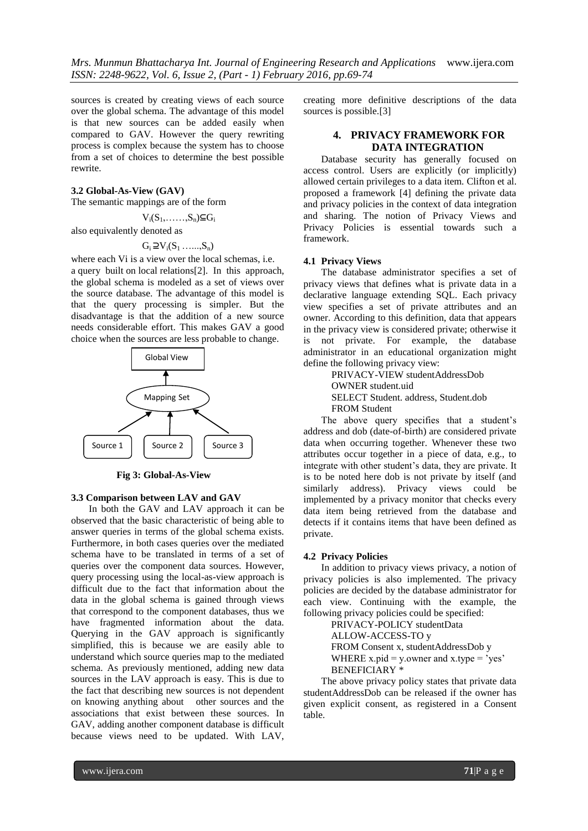sources is created by creating views of each source over the global schema. The advantage of this model is that new sources can be added easily when compared to GAV. However the query rewriting process is complex because the system has to choose from a set of choices to determine the best possible rewrite.

## **3.2 Global-As-View (GAV)**

The semantic mappings are of the form

 $V_i(S_1, \ldots, S_n) \subseteq G_i$ 

also equivalently denoted as

 $G_i \supseteq V_i(S_1 \ldots S_n)$ 

where each Vi is a view over the local schemas, i.e. a query built on local relations[2]. In this approach, the global schema is modeled as a set of views over the source database. The advantage of this model is that the query processing is simpler. But the disadvantage is that the addition of a new source needs considerable effort. This makes GAV a good choice when the sources are less probable to change.



 **Fig 3: Global-As-View**

#### **3.3 Comparison between LAV and GAV**

In both the GAV and LAV approach it can be observed that the basic characteristic of being able to answer queries in terms of the global schema exists. Furthermore, in both cases queries over the mediated schema have to be translated in terms of a set of queries over the component data sources. However, query processing using the local-as-view approach is difficult due to the fact that information about the data in the global schema is gained through views that correspond to the component databases, thus we have fragmented information about the data. Querying in the GAV approach is significantly simplified, this is because we are easily able to understand which source queries map to the mediated schema. As previously mentioned, adding new data sources in the LAV approach is easy. This is due to the fact that describing new sources is not dependent on knowing anything about other sources and the associations that exist between these sources. In GAV, adding another component database is difficult because views need to be updated. With LAV, creating more definitive descriptions of the data sources is possible.[3]

## **4. PRIVACY FRAMEWORK FOR DATA INTEGRATION**

Database security has generally focused on access control. Users are explicitly (or implicitly) allowed certain privileges to a data item. Clifton et al. proposed a framework [4] defining the private data and privacy policies in the context of data integration and sharing. The notion of Privacy Views and Privacy Policies is essential towards such a framework.

#### **4.1 Privacy Views**

The database administrator specifies a set of privacy views that defines what is private data in a declarative language extending SQL. Each privacy view specifies a set of private attributes and an owner. According to this definition, data that appears in the privacy view is considered private; otherwise it is not private. For example, the database administrator in an educational organization might define the following privacy view:

PRIVACY-VIEW studentAddressDob OWNER student.uid SELECT Student. address, Student.dob FROM Student

The above query specifies that a student's address and dob (date-of-birth) are considered private data when occurring together. Whenever these two attributes occur together in a piece of data, e.g., to integrate with other student's data, they are private. It is to be noted here dob is not private by itself (and similarly address). Privacy views could be implemented by a privacy monitor that checks every data item being retrieved from the database and detects if it contains items that have been defined as private.

#### **4.2 Privacy Policies**

In addition to privacy views privacy, a notion of privacy policies is also implemented. The privacy policies are decided by the database administrator for each view. Continuing with the example, the following privacy policies could be specified:

PRIVACY-POLICY studentData

ALLOW-ACCESS-TO y

FROM Consent x, studentAddressDob y

WHERE x.pid = y.owner and x.type = 'yes' BENEFICIARY \*

The above privacy policy states that private data studentAddressDob can be released if the owner has given explicit consent, as registered in a Consent table.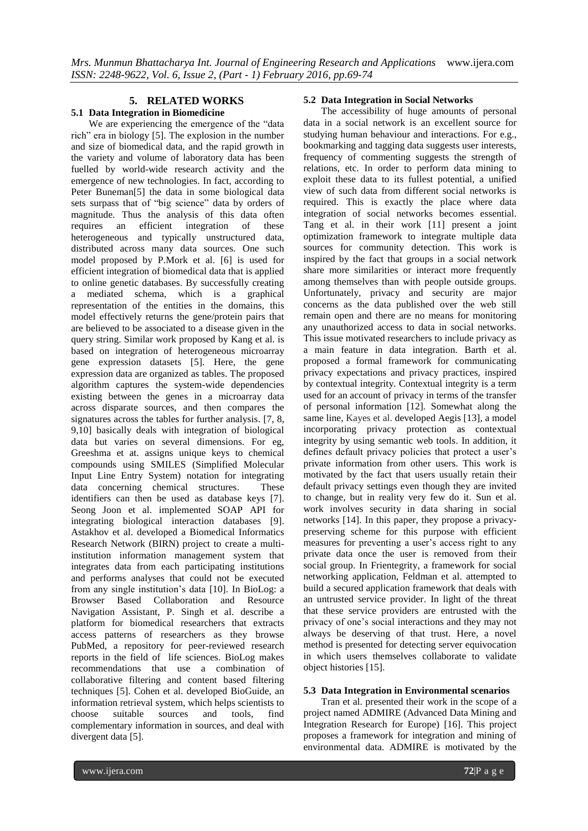## **5. RELATED WORKS**

## **5.1 Data Integration in Biomedicine**

We are experiencing the emergence of the "data rich" era in biology [5]. The explosion in the number and size of biomedical data, and the rapid growth in the variety and volume of laboratory data has been fuelled by world-wide research activity and the emergence of new technologies. In fact, according to Peter Buneman[5] the data in some biological data sets surpass that of "big science" data by orders of magnitude. Thus the analysis of this data often requires an efficient integration of these heterogeneous and typically unstructured data, distributed across many data sources. One such model proposed by P.Mork et al. [6] is used for efficient integration of biomedical data that is applied to online genetic databases. By successfully creating a mediated schema, which is a graphical representation of the entities in the domains, this model effectively returns the gene/protein pairs that are believed to be associated to a disease given in the query string. Similar work proposed by Kang et al. is based on integration of heterogeneous microarray gene expression datasets [5]. Here, the gene expression data are organized as tables. The proposed algorithm captures the system-wide dependencies existing between the genes in a microarray data across disparate sources, and then compares the signatures across the tables for further analysis. [7, 8, 9,10] basically deals with integration of biological data but varies on several dimensions. For eg, Greeshma et at. assigns unique keys to chemical compounds using SMILES (Simplified Molecular Input Line Entry System) notation for integrating data concerning chemical structures. These identifiers can then be used as database keys [7]. Seong Joon et al. implemented SOAP API for integrating biological interaction databases [9]. Astakhov et al. developed a Biomedical Informatics Research Network (BIRN) project to create a multiinstitution information management system that integrates data from each participating institutions and performs analyses that could not be executed from any single institution's data [10]. In BioLog: a Browser Based Collaboration and Resource Navigation Assistant, P. Singh et al. describe a platform for biomedical researchers that extracts access patterns of researchers as they browse PubMed, a repository for peer-reviewed research reports in the field of life sciences. BioLog makes recommendations that use a combination of collaborative filtering and content based filtering techniques [5]. Cohen et al. developed BioGuide, an information retrieval system, which helps scientists to choose suitable sources and tools, find complementary information in sources, and deal with divergent data [5].

### **5.2 Data Integration in Social Networks**

The accessibility of huge amounts of personal data in a social network is an excellent source for studying human behaviour and interactions. For e.g., bookmarking and tagging data suggests user interests, frequency of commenting suggests the strength of relations, etc. In order to perform data mining to exploit these data to its fullest potential, a unified view of such data from different social networks is required. This is exactly the place where data integration of social networks becomes essential. Tang et al. in their work [11] present a joint optimization framework to integrate multiple data sources for community detection. This work is inspired by the fact that groups in a social network share more similarities or interact more frequently among themselves than with people outside groups. Unfortunately, privacy and security are major concerns as the data published over the web still remain open and there are no means for monitoring any unauthorized access to data in social networks. This issue motivated researchers to include privacy as a main feature in data integration. Barth et al. proposed a formal framework for communicating privacy expectations and privacy practices, inspired by contextual integrity. Contextual integrity is a term used for an account of privacy in terms of the transfer of personal information [12]. Somewhat along the same line, Kayes et al. developed Aegis [13], a model incorporating privacy protection as contextual integrity by using semantic web tools. In addition, it defines default privacy policies that protect a user's private information from other users. This work is motivated by the fact that users usually retain their default privacy settings even though they are invited to change, but in reality very few do it. Sun et al. work involves security in data sharing in social networks [14]. In this paper, they propose a privacypreserving scheme for this purpose with efficient measures for preventing a user's access right to any private data once the user is removed from their social group. In Frientegrity, a framework for social networking application, Feldman et al. attempted to build a secured application framework that deals with an untrusted service provider. In light of the threat that these service providers are entrusted with the privacy of one's social interactions and they may not always be deserving of that trust. Here, a novel method is presented for detecting server equivocation in which users themselves collaborate to validate object histories [15].

#### **5.3 Data Integration in Environmental scenarios**

Tran et al. presented their work in the scope of a project named ADMIRE (Advanced Data Mining and Integration Research for Europe) [16]. This project proposes a framework for integration and mining of environmental data. ADMIRE is motivated by the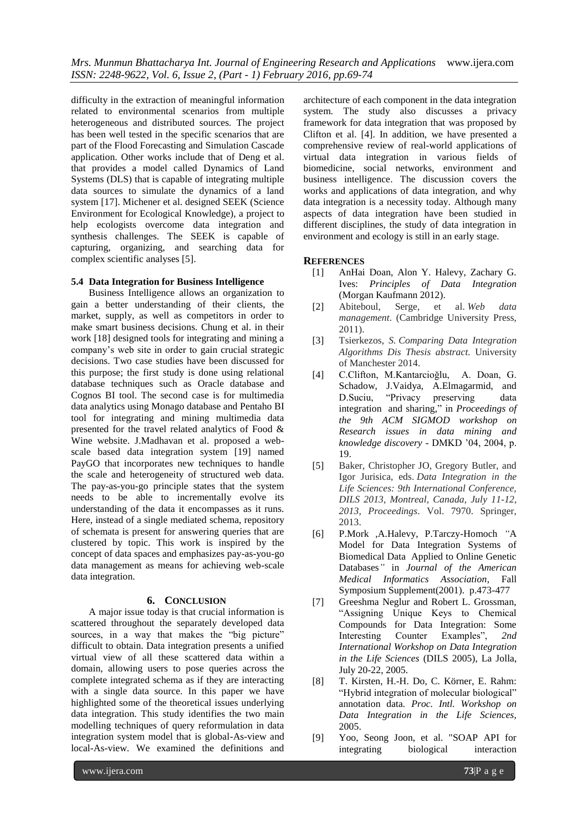*Mrs. Munmun Bhattacharya Int. Journal of Engineering Research and Applications* www.ijera.com *ISSN: 2248-9622, Vol. 6, Issue 2, (Part - 1) February 2016, pp.69-74*

difficulty in the extraction of meaningful information related to environmental scenarios from multiple heterogeneous and distributed sources. The project has been well tested in the specific scenarios that are part of the Flood Forecasting and Simulation Cascade application. Other works include that of Deng et al. that provides a model called Dynamics of Land Systems (DLS) that is capable of integrating multiple data sources to simulate the dynamics of a land system [17]. Michener et al. designed SEEK (Science Environment for Ecological Knowledge), a project to help ecologists overcome data integration and synthesis challenges. The SEEK is capable of capturing, organizing, and searching data for complex scientific analyses [5].

#### **5.4 Data Integration for Business Intelligence**

Business Intelligence allows an organization to gain a better understanding of their clients, the market, supply, as well as competitors in order to make smart business decisions. Chung et al. in their work [18] designed tools for integrating and mining a company's web site in order to gain crucial strategic decisions. Two case studies have been discussed for this purpose; the first study is done using relational database techniques such as Oracle database and Cognos BI tool. The second case is for multimedia data analytics using Monago database and Pentaho BI tool for integrating and mining multimedia data presented for the travel related analytics of Food & Wine website. J.Madhavan et al. proposed a webscale based data integration system [19] named PayGO that incorporates new techniques to handle the scale and heterogeneity of structured web data. The pay-as-you-go principle states that the system needs to be able to incrementally evolve its understanding of the data it encompasses as it runs. Here, instead of a single mediated schema, repository of schemata is present for answering queries that are clustered by topic. This work is inspired by the concept of data spaces and emphasizes pay-as-you-go data management as means for achieving web-scale data integration.

#### **6. CONCLUSION**

A major issue today is that crucial information is scattered throughout the separately developed data sources, in a way that makes the "big picture" difficult to obtain. Data integration presents a unified virtual view of all these scattered data within a domain, allowing users to pose queries across the complete integrated schema as if they are interacting with a single data source. In this paper we have highlighted some of the theoretical issues underlying data integration. This study identifies the two main modelling techniques of query reformulation in data integration system model that is global-As-view and local-As-view. We examined the definitions and

architecture of each component in the data integration system. The study also discusses a privacy framework for data integration that was proposed by Clifton et al. [4]. In addition, we have presented a comprehensive review of real-world applications of virtual data integration in various fields of biomedicine, social networks, environment and business intelligence. The discussion covers the works and applications of data integration, and why data integration is a necessity today. Although many aspects of data integration have been studied in different disciplines, the study of data integration in environment and ecology is still in an early stage.

#### **REFERENCES**

- [1] AnHai Doan, Alon Y. Halevy, Zachary G. Ives: *Principles of Data Integration* (Morgan Kaufmann 2012).
- [2] Abiteboul, Serge, et al. *Web data management*. (Cambridge University Press, 2011).
- [3] Tsierkezos, *S. Comparing Data Integration Algorithms Dis Thesis abstract.* University of Manchester 2014.
- [4] C.Clifton, M.Kantarcioǧlu, A. Doan, G. Schadow, J.Vaidya, A.Elmagarmid, and D.Suciu, "Privacy preserving data integration and sharing*,*" in *Proceedings of the 9th ACM SIGMOD workshop on Research issues in data mining and knowledge discovery* - DMKD '04, 2004, p. 19.
- [5] Baker, Christopher JO, Gregory Butler, and Igor Jurisica, eds. *Data Integration in the Life Sciences: 9th International Conference, DILS 2013, Montreal, Canada, July 11-12, 2013, Proceedings*. Vol. 7970. Springer, 2013.
- [6] P.Mork ,A.Halevy, P.Tarczy-Homoch *"*A Model for Data Integration Systems of Biomedical Data Applied to Online Genetic Databases*"* in *Journal of the American Medical Informatics Association*, Fall Symposium Supplement(2001). p.473-477
- [7] Greeshma Neglur and Robert L. Grossman, "Assigning Unique Keys to Chemical Compounds for Data Integration: Some Interesting Counter Examples", *2nd International Workshop on Data Integration in the Life Sciences* (DILS 2005), La Jolla, July 20-22, 2005.
- [8] T. Kirsten, H.-H. Do, C. Körner, E. Rahm: "Hybrid integration of molecular biological" annotation data*. Proc. Intl. Workshop on Data Integration in the Life Sciences,* 2005.
- [9] Yoo, Seong Joon, et al. "SOAP API for integrating biological interaction